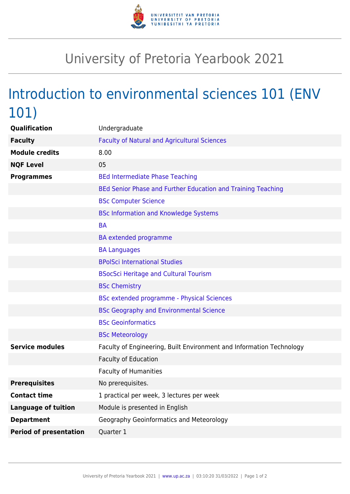

## University of Pretoria Yearbook 2021

## Introduction to environmental sciences 101 (ENV 101)

| Qualification                 | Undergraduate                                                        |
|-------------------------------|----------------------------------------------------------------------|
| <b>Faculty</b>                | <b>Faculty of Natural and Agricultural Sciences</b>                  |
| <b>Module credits</b>         | 8.00                                                                 |
| <b>NQF Level</b>              | 05                                                                   |
| <b>Programmes</b>             | <b>BEd Intermediate Phase Teaching</b>                               |
|                               | BEd Senior Phase and Further Education and Training Teaching         |
|                               | <b>BSc Computer Science</b>                                          |
|                               | <b>BSc Information and Knowledge Systems</b>                         |
|                               | <b>BA</b>                                                            |
|                               | <b>BA</b> extended programme                                         |
|                               | <b>BA Languages</b>                                                  |
|                               | <b>BPolSci International Studies</b>                                 |
|                               | <b>BSocSci Heritage and Cultural Tourism</b>                         |
|                               | <b>BSc Chemistry</b>                                                 |
|                               | BSc extended programme - Physical Sciences                           |
|                               | <b>BSc Geography and Environmental Science</b>                       |
|                               | <b>BSc Geoinformatics</b>                                            |
|                               | <b>BSc Meteorology</b>                                               |
| <b>Service modules</b>        | Faculty of Engineering, Built Environment and Information Technology |
|                               | Faculty of Education                                                 |
|                               | <b>Faculty of Humanities</b>                                         |
| <b>Prerequisites</b>          | No prerequisites.                                                    |
| <b>Contact time</b>           | 1 practical per week, 3 lectures per week                            |
| <b>Language of tuition</b>    | Module is presented in English                                       |
| <b>Department</b>             | Geography Geoinformatics and Meteorology                             |
| <b>Period of presentation</b> | Quarter 1                                                            |